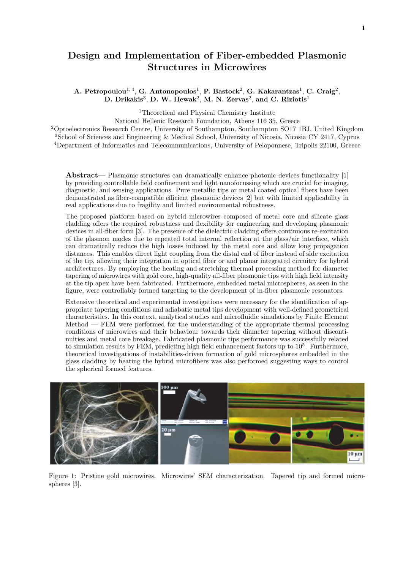## Design and Implementation of Fiber-embedded Plasmonic Structures in Microwires

A. Petropoulou $^{1,4}$ , G. Antonopoulos $^{1}$ , P. Bastock $^{2}$ , G. Kakarantzas $^{1}$ , C. Craig $^{2}$ , D. Drikakis<sup>3</sup>, D. W. Hewak<sup>2</sup>, M. N. Zervas<sup>2</sup>, and C. Riziotis<sup>1</sup>

<sup>1</sup>Theoretical and Physical Chemistry Institute

National Hellenic Research Foundation, Athens 116 35, Greece

<sup>2</sup>Optoelectronics Research Centre, University of Southampton, Southampton SO17 1BJ, United Kingdom <sup>3</sup>School of Sciences and Engineering & Medical School, University of Nicosia, Nicosia CY 2417, Cyprus <sup>4</sup>Department of Informatics and Telecommunications, University of Peloponnese, Tripolis 22100, Greece

Abstract— Plasmonic structures can dramatically enhance photonic devices functionality [1] by providing controllable field confinement and light nanofocussing which are crucial for imaging, diagnostic, and sensing applications. Pure metallic tips or metal coated optical fibers have been demonstrated as fiber-compatible efficient plasmonic devices [2] but with limited applicability in real applications due to fragility and limited environmental robustness.

The proposed platform based on hybrid microwires composed of metal core and silicate glass cladding offers the required robustness and flexibility for engineering and developing plasmonic devices in all-fiber form [3]. The presence of the dielectric cladding offers continuous re-excitation of the plasmon modes due to repeated total internal reflection at the glass/air interface, which can dramatically reduce the high losses induced by the metal core and allow long propagation distances. This enables direct light coupling from the distal end of fiber instead of side excitation of the tip, allowing their integration in optical fiber or and planar integrated circuitry for hybrid architectures. By employing the heating and stretching thermal processing method for diameter tapering of microwires with gold core, high-quality all-fiber plasmonic tips with high field intensity at the tip apex have been fabricated. Furthermore, embedded metal microspheres, as seen in the figure, were controllably formed targeting to the development of in-fiber plasmonic resonators.

Extensive theoretical and experimental investigations were necessary for the identification of appropriate tapering conditions and adiabatic metal tips development with well-defined geometrical characteristics. In this context, analytical studies and microfluidic simulations by Finite Element Method — FEM were performed for the understanding of the appropriate thermal processing conditions of microwires and their behaviour towards their diameter tapering without discontinuities and metal core breakage. Fabricated plasmonic tips performance was successfully related to simulation results by FEM, predicting high field enhancement factors up to  $10<sup>5</sup>$ . Furthermore, theoretical investigations of instabilities-driven formation of gold microspheres embedded in the glass cladding by heating the hybrid microfibers was also performed suggesting ways to control the spherical formed features.



Figure 1: Pristine gold microwires. Microwires' SEM characterization. Tapered tip and formed microspheres [3].